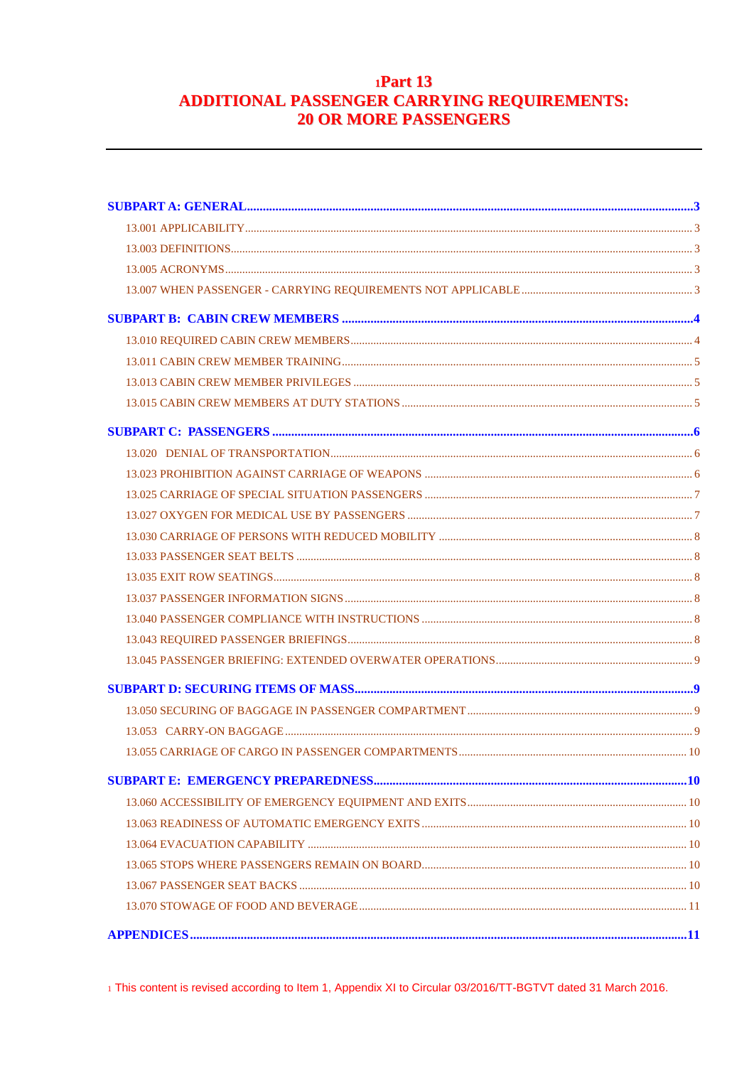# $1Part 13$ ADDITIONAL PASSENGER CARRYING REQUIREMENTS: **20 OR MORE PASSENGERS**

1 This content is revised according to Item 1, Appendix XI to Circular 03/2016/TT-BGTVT dated 31 March 2016.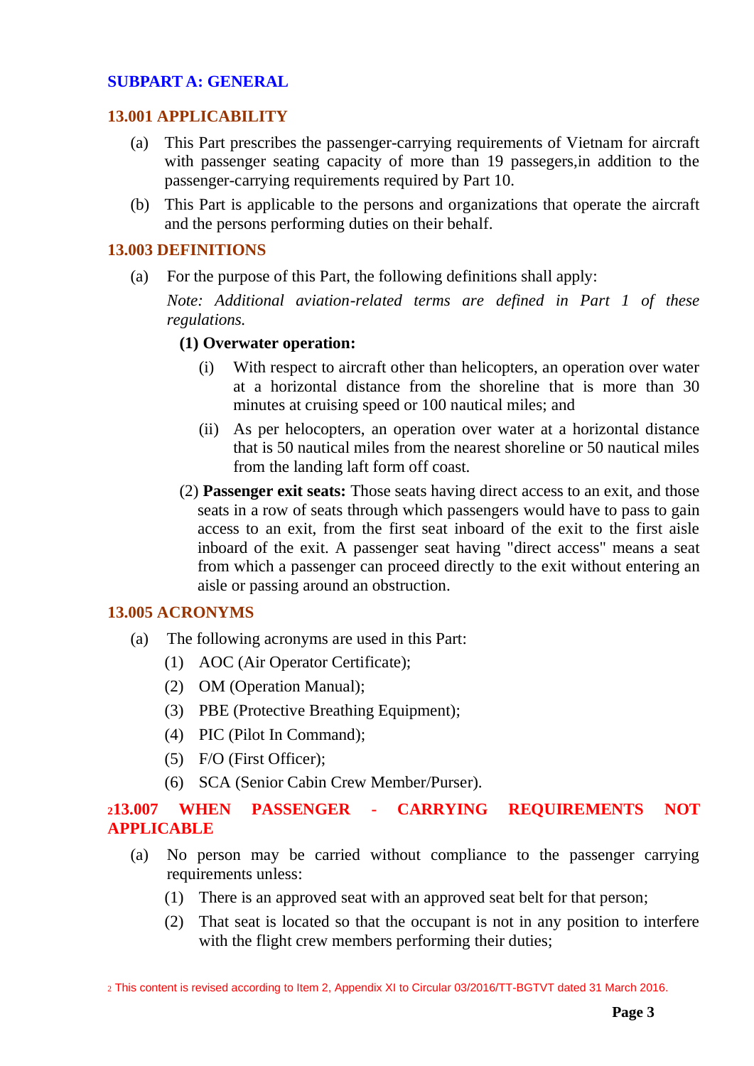# <span id="page-2-0"></span>**SUBPART A: GENERAL**

#### <span id="page-2-1"></span>**13.001 APPLICABILITY**

- (a) This Part prescribes the passenger-carrying requirements of Vietnam for aircraft with passenger seating capacity of more than 19 passegers,in addition to the passenger-carrying requirements required by Part 10.
- (b) This Part is applicable to the persons and organizations that operate the aircraft and the persons performing duties on their behalf.

#### <span id="page-2-2"></span>**13.003 DEFINITIONS**

(a) For the purpose of this Part, the following definitions shall apply:

*Note: Additional aviation-related terms are defined in Part 1 of these regulations.*

### **(1) Overwater operation:**

- (i) With respect to aircraft other than helicopters, an operation over water at a horizontal distance from the shoreline that is more than 30 minutes at cruising speed or 100 nautical miles; and
- (ii) As per helocopters, an operation over water at a horizontal distance that is 50 nautical miles from the nearest shoreline or 50 nautical miles from the landing laft form off coast.
- (2) **Passenger exit seats:** Those seats having direct access to an exit, and those seats in a row of seats through which passengers would have to pass to gain access to an exit, from the first seat inboard of the exit to the first aisle inboard of the exit. A passenger seat having "direct access" means a seat from which a passenger can proceed directly to the exit without entering an aisle or passing around an obstruction.

#### <span id="page-2-3"></span>**13.005 ACRONYMS**

- (a) The following acronyms are used in this Part:
	- (1) AOC (Air Operator Certificate);
	- (2) OM (Operation Manual);
	- (3) PBE (Protective Breathing Equipment);
	- (4) PIC (Pilot In Command);
	- (5) F/O (First Officer);
	- (6) SCA (Senior Cabin Crew Member/Purser).

## <span id="page-2-4"></span>**<sup>2</sup>13.007 WHEN PASSENGER - CARRYING REQUIREMENTS NOT APPLICABLE**

- (a) No person may be carried without compliance to the passenger carrying requirements unless:
	- (1) There is an approved seat with an approved seat belt for that person;
	- (2) That seat is located so that the occupant is not in any position to interfere with the flight crew members performing their duties;

2 This content is revised according to Item 2, Appendix XI to Circular 03/2016/TT-BGTVT dated 31 March 2016.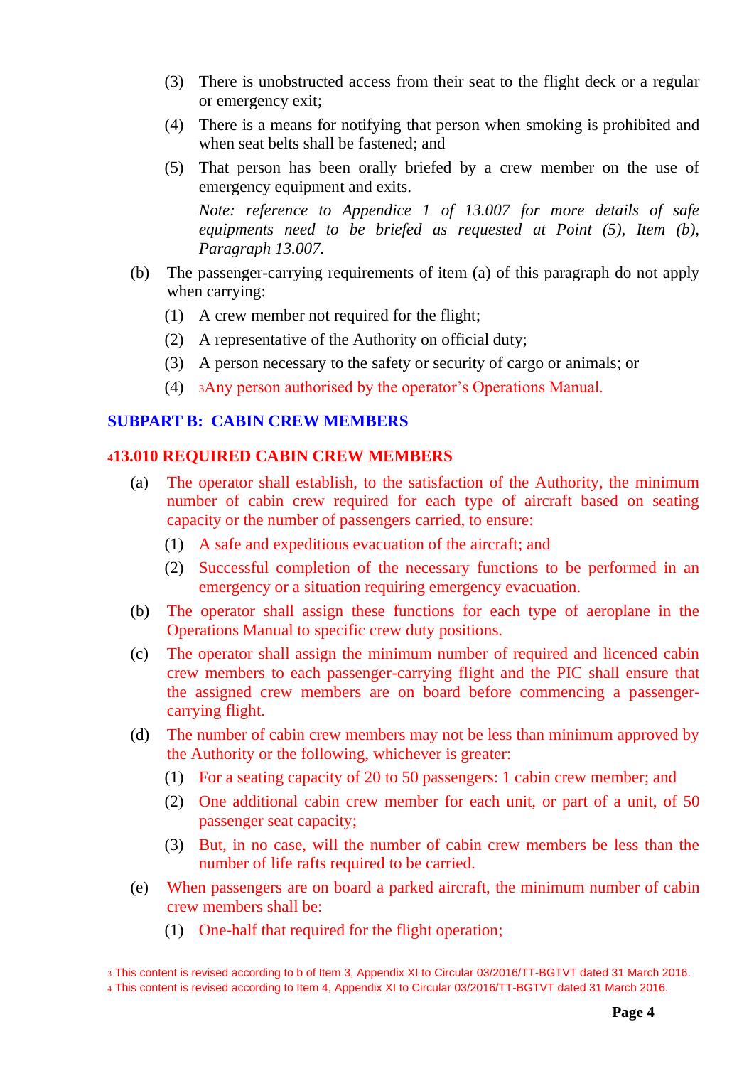- (3) There is unobstructed access from their seat to the flight deck or a regular or emergency exit;
- (4) There is a means for notifying that person when smoking is prohibited and when seat belts shall be fastened; and
- (5) That person has been orally briefed by a crew member on the use of emergency equipment and exits.

*Note: reference to Appendice 1 of 13.007 for more details of safe equipments need to be briefed as requested at Point (5), Item (b), Paragraph 13.007.*

- (b) The passenger-carrying requirements of item (a) of this paragraph do not apply when carrying:
	- (1) A crew member not required for the flight;
	- (2) A representative of the Authority on official duty;
	- (3) A person necessary to the safety or security of cargo or animals; or
	- (4) <sup>3</sup>Any person authorised by the operator's Operations Manual.

#### <span id="page-3-0"></span>**SUBPART B: CABIN CREW MEMBERS**

#### <span id="page-3-1"></span>**<sup>4</sup>13.010 REQUIRED CABIN CREW MEMBERS**

- (a) The operator shall establish, to the satisfaction of the Authority, the minimum number of cabin crew required for each type of aircraft based on seating capacity or the number of passengers carried, to ensure:
	- (1) A safe and expeditious evacuation of the aircraft; and
	- (2) Successful completion of the necessary functions to be performed in an emergency or a situation requiring emergency evacuation.
- (b) The operator shall assign these functions for each type of aeroplane in the Operations Manual to specific crew duty positions.
- (c) The operator shall assign the minimum number of required and licenced cabin crew members to each passenger-carrying flight and the PIC shall ensure that the assigned crew members are on board before commencing a passengercarrying flight.
- (d) The number of cabin crew members may not be less than minimum approved by the Authority or the following, whichever is greater:
	- (1) For a seating capacity of 20 to 50 passengers: 1 cabin crew member; and
	- (2) One additional cabin crew member for each unit, or part of a unit, of 50 passenger seat capacity;
	- (3) But, in no case, will the number of cabin crew members be less than the number of life rafts required to be carried.
- (e) When passengers are on board a parked aircraft, the minimum number of cabin crew members shall be:
	- (1) One-half that required for the flight operation;

<sup>3</sup> This content is revised according to b of Item 3, Appendix XI to Circular 03/2016/TT-BGTVT dated 31 March 2016.

<sup>4</sup> This content is revised according to Item 4, Appendix XI to Circular 03/2016/TT-BGTVT dated 31 March 2016.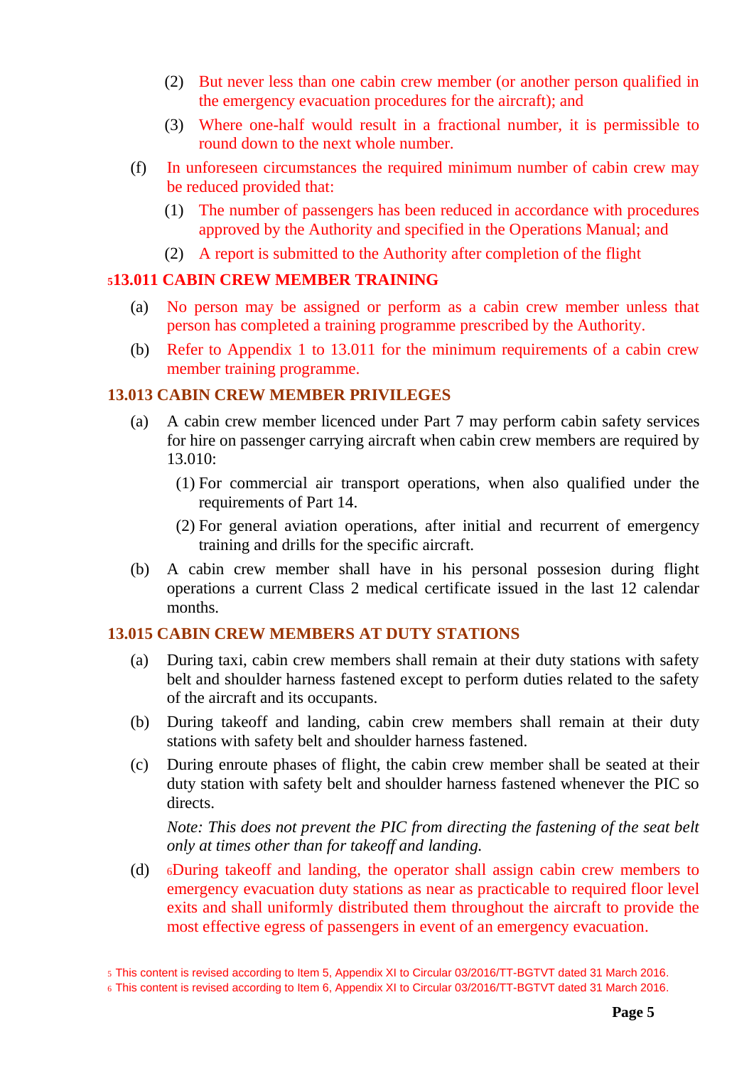- (2) But never less than one cabin crew member (or another person qualified in the emergency evacuation procedures for the aircraft); and
- (3) Where one-half would result in a fractional number, it is permissible to round down to the next whole number.
- (f) In unforeseen circumstances the required minimum number of cabin crew may be reduced provided that:
	- (1) The number of passengers has been reduced in accordance with procedures approved by the Authority and specified in the Operations Manual; and
	- (2) A report is submitted to the Authority after completion of the flight

# <span id="page-4-0"></span>**<sup>5</sup>13.011 CABIN CREW MEMBER TRAINING**

- (a) No person may be assigned or perform as a cabin crew member unless that person has completed a training programme prescribed by the Authority.
- (b) Refer to Appendix 1 to 13.011 for the minimum requirements of a cabin crew member training programme.

# <span id="page-4-1"></span>**13.013 CABIN CREW MEMBER PRIVILEGES**

- (a) A cabin crew member licenced under Part 7 may perform cabin safety services for hire on passenger carrying aircraft when cabin crew members are required by 13.010:
	- (1) For commercial air transport operations, when also qualified under the requirements of Part 14.
	- (2) For general aviation operations, after initial and recurrent of emergency training and drills for the specific aircraft.
- (b) A cabin crew member shall have in his personal possesion during flight operations a current Class 2 medical certificate issued in the last 12 calendar months.

# <span id="page-4-2"></span>**13.015 CABIN CREW MEMBERS AT DUTY STATIONS**

- (a) During taxi, cabin crew members shall remain at their duty stations with safety belt and shoulder harness fastened except to perform duties related to the safety of the aircraft and its occupants.
- (b) During takeoff and landing, cabin crew members shall remain at their duty stations with safety belt and shoulder harness fastened.
- (c) During enroute phases of flight, the cabin crew member shall be seated at their duty station with safety belt and shoulder harness fastened whenever the PIC so directs.

*Note: This does not prevent the PIC from directing the fastening of the seat belt only at times other than for takeoff and landing.*

(d) <sup>6</sup>During takeoff and landing, the operator shall assign cabin crew members to emergency evacuation duty stations as near as practicable to required floor level exits and shall uniformly distributed them throughout the aircraft to provide the most effective egress of passengers in event of an emergency evacuation.

<sup>5</sup> This content is revised according to Item 5, Appendix XI to Circular 03/2016/TT-BGTVT dated 31 March 2016.

<sup>6</sup> This content is revised according to Item 6, Appendix XI to Circular 03/2016/TT-BGTVT dated 31 March 2016.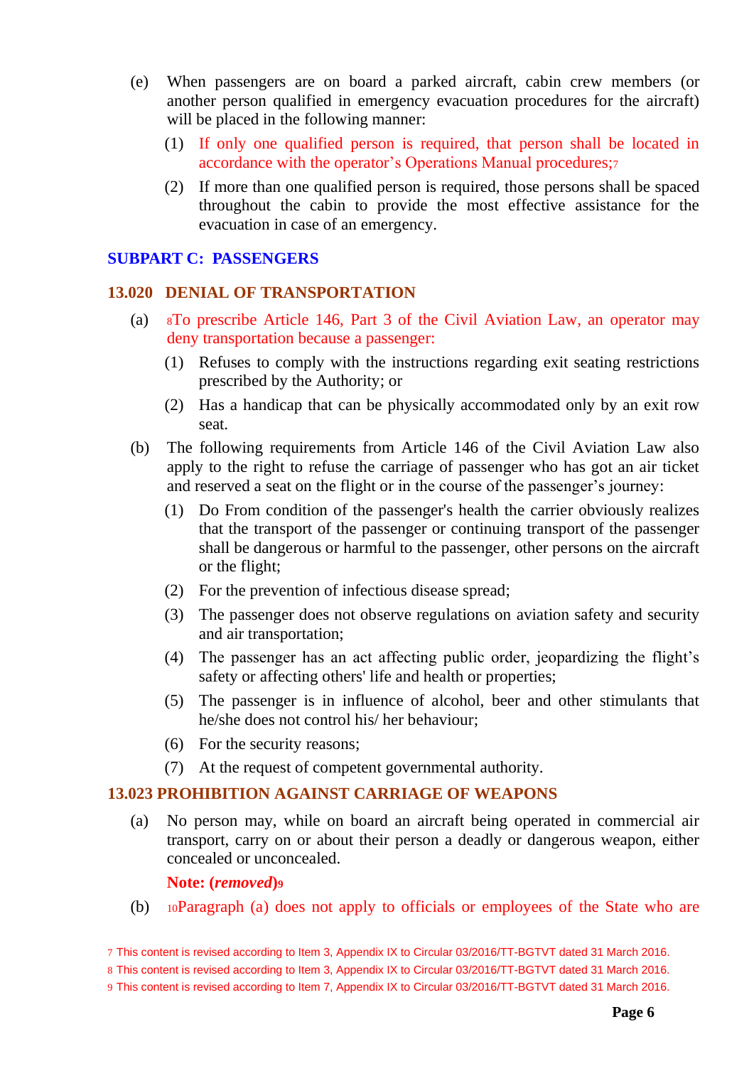- (e) When passengers are on board a parked aircraft, cabin crew members (or another person qualified in emergency evacuation procedures for the aircraft) will be placed in the following manner:
	- (1) If only one qualified person is required, that person shall be located in accordance with the operator's Operations Manual procedures;<sup>7</sup>
	- (2) If more than one qualified person is required, those persons shall be spaced throughout the cabin to provide the most effective assistance for the evacuation in case of an emergency.

## <span id="page-5-0"></span>**SUBPART C: PASSENGERS**

## <span id="page-5-1"></span>**13.020 DENIAL OF TRANSPORTATION**

- (a) <sup>8</sup>To prescribe Article 146, Part 3 of the Civil Aviation Law, an operator may deny transportation because a passenger:
	- (1) Refuses to comply with the instructions regarding exit seating restrictions prescribed by the Authority; or
	- (2) Has a handicap that can be physically accommodated only by an exit row seat.
- (b) The following requirements from Article 146 of the Civil Aviation Law also apply to the right to refuse the carriage of passenger who has got an air ticket and reserved a seat on the flight or in the course of the passenger's journey:
	- (1) Do From condition of the passenger's health the carrier obviously realizes that the transport of the passenger or continuing transport of the passenger shall be dangerous or harmful to the passenger, other persons on the aircraft or the flight;
	- (2) For the prevention of infectious disease spread;
	- (3) The passenger does not observe regulations on aviation safety and security and air transportation;
	- (4) The passenger has an act affecting public order, jeopardizing the flight's safety or affecting others' life and health or properties;
	- (5) The passenger is in influence of alcohol, beer and other stimulants that he/she does not control his/ her behaviour;
	- (6) For the security reasons;
	- (7) At the request of competent governmental authority.

## <span id="page-5-2"></span>**13.023 PROHIBITION AGAINST CARRIAGE OF WEAPONS**

(a) No person may, while on board an aircraft being operated in commercial air transport, carry on or about their person a deadly or dangerous weapon, either concealed or unconcealed.

#### **Note: (***removed***)<sup>9</sup>**

(b) <sup>10</sup>Paragraph (a) does not apply to officials or employees of the State who are

<sup>7</sup> This content is revised according to Item 3, Appendix IX to Circular 03/2016/TT-BGTVT dated 31 March 2016.

<sup>8</sup> This content is revised according to Item 3, Appendix IX to Circular 03/2016/TT-BGTVT dated 31 March 2016.

<sup>9</sup> This content is revised according to Item 7, Appendix IX to Circular 03/2016/TT-BGTVT dated 31 March 2016.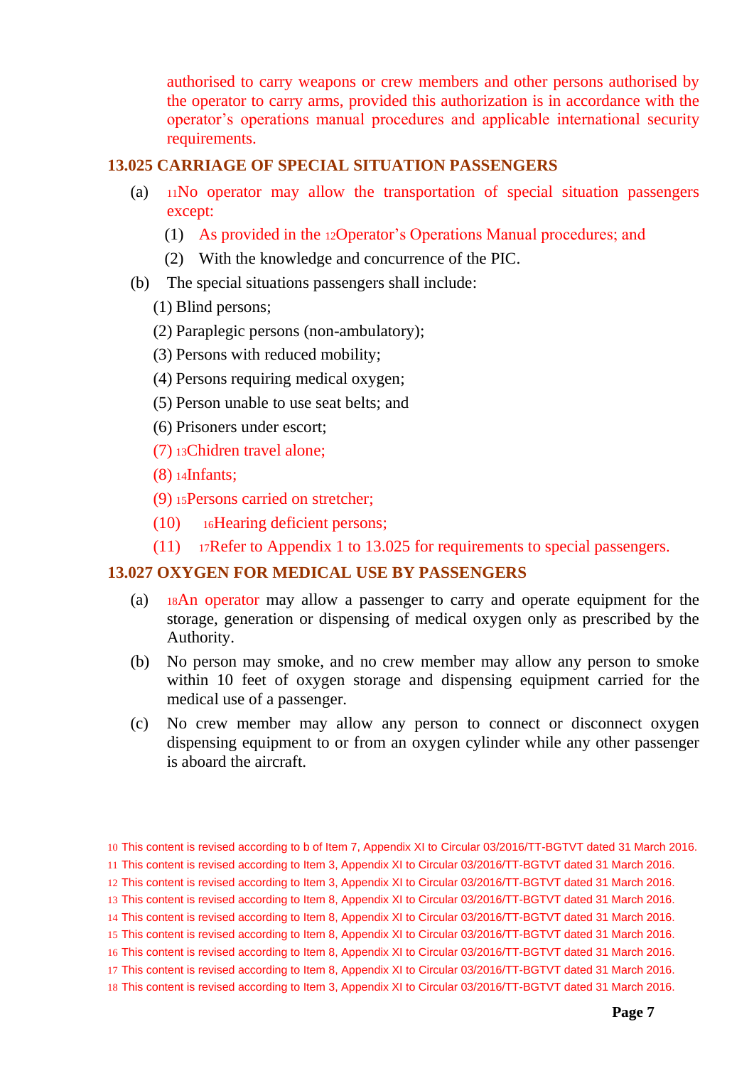authorised to carry weapons or crew members and other persons authorised by the operator to carry arms, provided this authorization is in accordance with the operator's operations manual procedures and applicable international security requirements.

## <span id="page-6-0"></span>**13.025 CARRIAGE OF SPECIAL SITUATION PASSENGERS**

- (a) <sup>11</sup>No operator may allow the transportation of special situation passengers except:
	- (1) As provided in the 12Operator's Operations Manual procedures; and
	- (2) With the knowledge and concurrence of the PIC.
- (b) The special situations passengers shall include:
	- (1) Blind persons;
	- (2) Paraplegic persons (non-ambulatory);
	- (3) Persons with reduced mobility;
	- (4) Persons requiring medical oxygen;
	- (5) Person unable to use seat belts; and
	- (6) Prisoners under escort;
	- (7) <sup>13</sup>Chidren travel alone;
	- (8) <sup>14</sup>Infants;
	- (9) <sup>15</sup>Persons carried on stretcher;
	- (10) <sup>16</sup>Hearing deficient persons;
	- (11) <sup>17</sup>Refer to Appendix 1 to 13.025 for requirements to special passengers.

#### <span id="page-6-1"></span>**13.027 OXYGEN FOR MEDICAL USE BY PASSENGERS**

- (a) <sup>18</sup>An operator may allow a passenger to carry and operate equipment for the storage, generation or dispensing of medical oxygen only as prescribed by the Authority.
- (b) No person may smoke, and no crew member may allow any person to smoke within 10 feet of oxygen storage and dispensing equipment carried for the medical use of a passenger.
- (c) No crew member may allow any person to connect or disconnect oxygen dispensing equipment to or from an oxygen cylinder while any other passenger is aboard the aircraft.

16 This content is revised according to Item 8, Appendix XI to Circular 03/2016/TT-BGTVT dated 31 March 2016.

<sup>10</sup> This content is revised according to b of Item 7, Appendix XI to Circular 03/2016/TT-BGTVT dated 31 March 2016.

<sup>11</sup> This content is revised according to Item 3, Appendix XI to Circular 03/2016/TT-BGTVT dated 31 March 2016.

<sup>12</sup> This content is revised according to Item 3, Appendix XI to Circular 03/2016/TT-BGTVT dated 31 March 2016.

<sup>13</sup> This content is revised according to Item 8, Appendix XI to Circular 03/2016/TT-BGTVT dated 31 March 2016.

<sup>14</sup> This content is revised according to Item 8, Appendix XI to Circular 03/2016/TT-BGTVT dated 31 March 2016.

<sup>15</sup> This content is revised according to Item 8, Appendix XI to Circular 03/2016/TT-BGTVT dated 31 March 2016.

<sup>17</sup> This content is revised according to Item 8, Appendix XI to Circular 03/2016/TT-BGTVT dated 31 March 2016.

<sup>18</sup> This content is revised according to Item 3, Appendix XI to Circular 03/2016/TT-BGTVT dated 31 March 2016.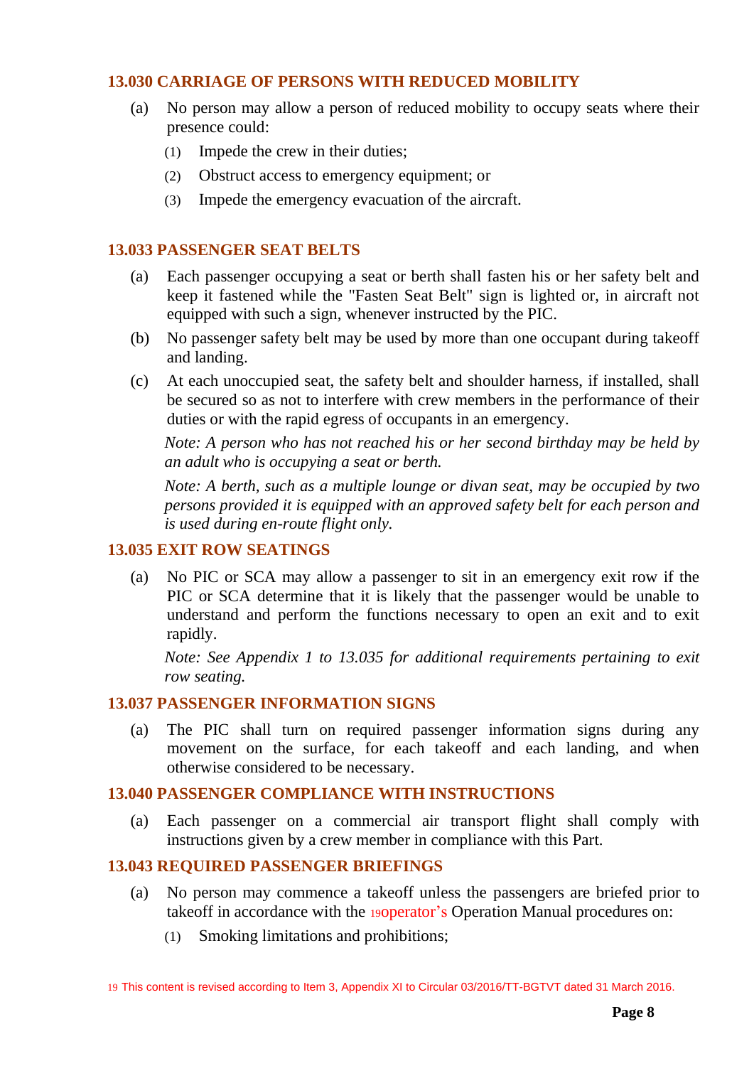## <span id="page-7-0"></span>**13.030 CARRIAGE OF PERSONS WITH REDUCED MOBILITY**

- (a) No person may allow a person of reduced mobility to occupy seats where their presence could:
	- (1) Impede the crew in their duties;
	- (2) Obstruct access to emergency equipment; or
	- (3) Impede the emergency evacuation of the aircraft.

### <span id="page-7-1"></span>**13.033 PASSENGER SEAT BELTS**

- (a) Each passenger occupying a seat or berth shall fasten his or her safety belt and keep it fastened while the "Fasten Seat Belt" sign is lighted or, in aircraft not equipped with such a sign, whenever instructed by the PIC.
- (b) No passenger safety belt may be used by more than one occupant during takeoff and landing.
- (c) At each unoccupied seat, the safety belt and shoulder harness, if installed, shall be secured so as not to interfere with crew members in the performance of their duties or with the rapid egress of occupants in an emergency.

*Note: A person who has not reached his or her second birthday may be held by an adult who is occupying a seat or berth.*

*Note: A berth, such as a multiple lounge or divan seat, may be occupied by two persons provided it is equipped with an approved safety belt for each person and is used during en-route flight only.*

#### <span id="page-7-2"></span>**13.035 EXIT ROW SEATINGS**

(a) No PIC or SCA may allow a passenger to sit in an emergency exit row if the PIC or SCA determine that it is likely that the passenger would be unable to understand and perform the functions necessary to open an exit and to exit rapidly.

*Note: See Appendix 1 to 13.035 for additional requirements pertaining to exit row seating.*

#### <span id="page-7-3"></span>**13.037 PASSENGER INFORMATION SIGNS**

(a) The PIC shall turn on required passenger information signs during any movement on the surface, for each takeoff and each landing, and when otherwise considered to be necessary.

#### <span id="page-7-4"></span>**13.040 PASSENGER COMPLIANCE WITH INSTRUCTIONS**

(a) Each passenger on a commercial air transport flight shall comply with instructions given by a crew member in compliance with this Part.

## <span id="page-7-5"></span>**13.043 REQUIRED PASSENGER BRIEFINGS**

- (a) No person may commence a takeoff unless the passengers are briefed prior to takeoff in accordance with the 19operator's Operation Manual procedures on:
	- (1) Smoking limitations and prohibitions;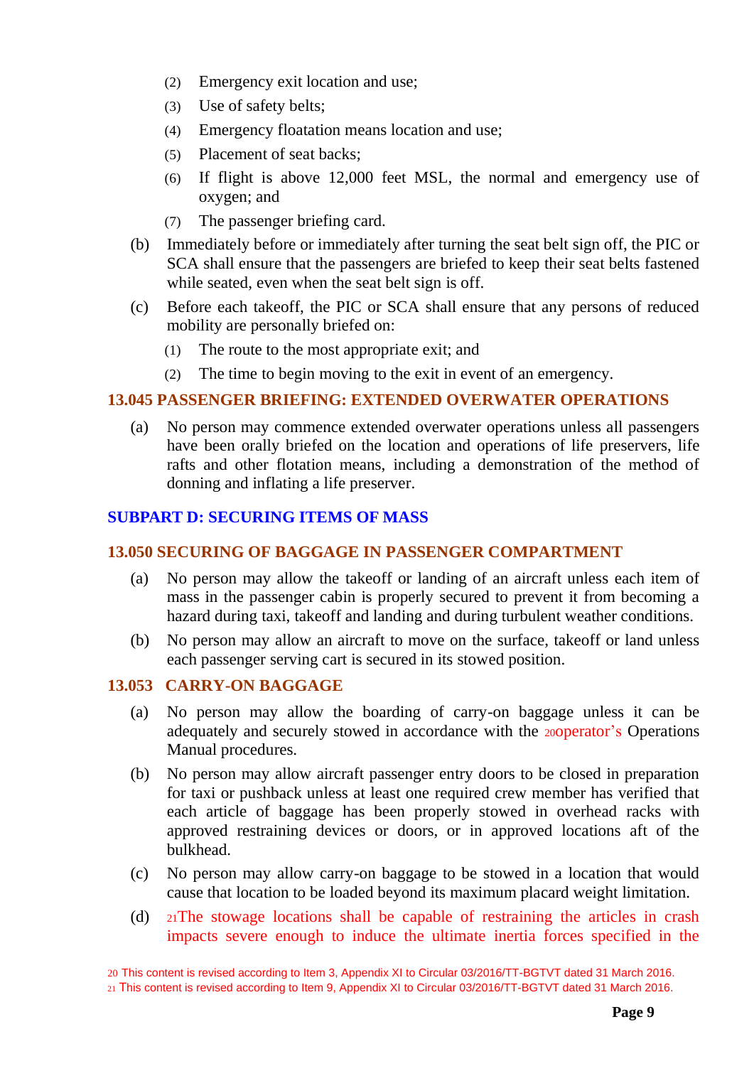- (2) Emergency exit location and use;
- (3) Use of safety belts;
- (4) Emergency floatation means location and use;
- (5) Placement of seat backs;
- (6) If flight is above 12,000 feet MSL, the normal and emergency use of oxygen; and
- (7) The passenger briefing card.
- (b) Immediately before or immediately after turning the seat belt sign off, the PIC or SCA shall ensure that the passengers are briefed to keep their seat belts fastened while seated, even when the seat belt sign is off.
- (c) Before each takeoff, the PIC or SCA shall ensure that any persons of reduced mobility are personally briefed on:
	- (1) The route to the most appropriate exit; and
	- (2) The time to begin moving to the exit in event of an emergency.

## <span id="page-8-0"></span>**13.045 PASSENGER BRIEFING: EXTENDED OVERWATER OPERATIONS**

(a) No person may commence extended overwater operations unless all passengers have been orally briefed on the location and operations of life preservers, life rafts and other flotation means, including a demonstration of the method of donning and inflating a life preserver.

# <span id="page-8-1"></span>**SUBPART D: SECURING ITEMS OF MASS**

## <span id="page-8-2"></span>**13.050 SECURING OF BAGGAGE IN PASSENGER COMPARTMENT**

- (a) No person may allow the takeoff or landing of an aircraft unless each item of mass in the passenger cabin is properly secured to prevent it from becoming a hazard during taxi, takeoff and landing and during turbulent weather conditions.
- (b) No person may allow an aircraft to move on the surface, takeoff or land unless each passenger serving cart is secured in its stowed position.

## <span id="page-8-3"></span>**13.053 CARRY-ON BAGGAGE**

- (a) No person may allow the boarding of carry-on baggage unless it can be adequately and securely stowed in accordance with the 20operator's Operations Manual procedures.
- (b) No person may allow aircraft passenger entry doors to be closed in preparation for taxi or pushback unless at least one required crew member has verified that each article of baggage has been properly stowed in overhead racks with approved restraining devices or doors, or in approved locations aft of the bulkhead.
- (c) No person may allow carry-on baggage to be stowed in a location that would cause that location to be loaded beyond its maximum placard weight limitation.
- (d) <sup>21</sup>The stowage locations shall be capable of restraining the articles in crash impacts severe enough to induce the ultimate inertia forces specified in the

20 This content is revised according to Item 3, Appendix XI to Circular 03/2016/TT-BGTVT dated 31 March 2016. <sup>21</sup> This content is revised according to Item 9, Appendix XI to Circular 03/2016/TT-BGTVT dated 31 March 2016.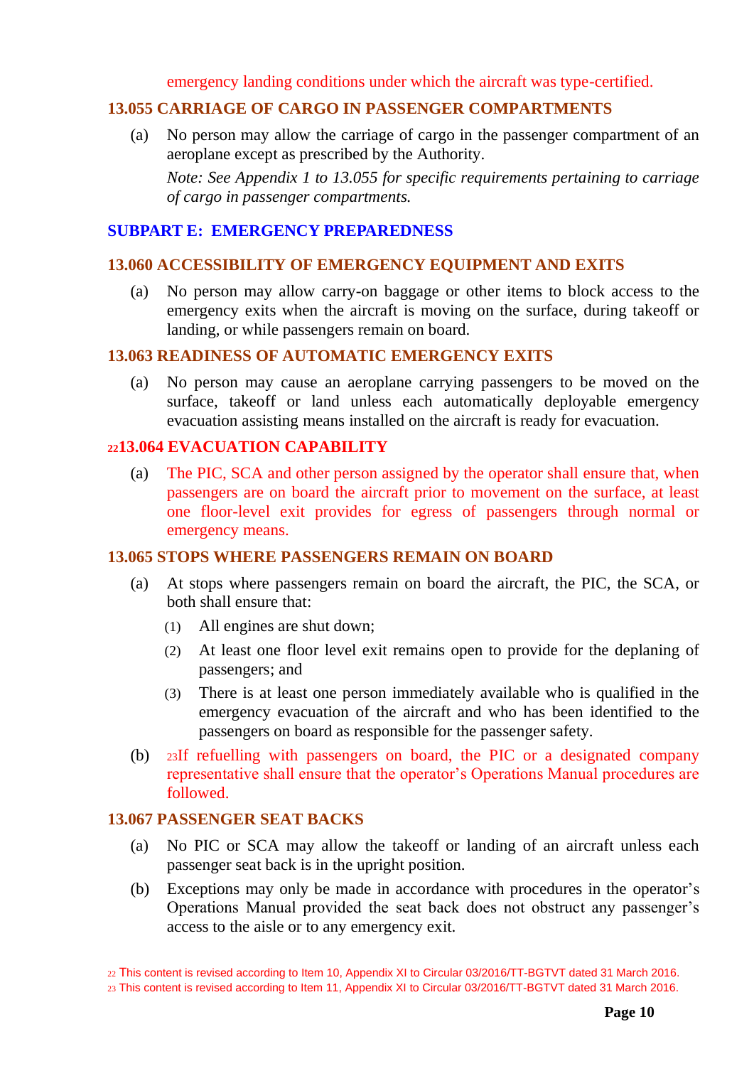emergency landing conditions under which the aircraft was type-certified.

## <span id="page-9-0"></span>**13.055 CARRIAGE OF CARGO IN PASSENGER COMPARTMENTS**

(a) No person may allow the carriage of cargo in the passenger compartment of an aeroplane except as prescribed by the Authority.

*Note: See Appendix 1 to 13.055 for specific requirements pertaining to carriage of cargo in passenger compartments.*

#### <span id="page-9-1"></span>**SUBPART E: EMERGENCY PREPAREDNESS**

#### <span id="page-9-2"></span>**13.060 ACCESSIBILITY OF EMERGENCY EQUIPMENT AND EXITS**

(a) No person may allow carry-on baggage or other items to block access to the emergency exits when the aircraft is moving on the surface, during takeoff or landing, or while passengers remain on board.

## <span id="page-9-3"></span>**13.063 READINESS OF AUTOMATIC EMERGENCY EXITS**

(a) No person may cause an aeroplane carrying passengers to be moved on the surface, takeoff or land unless each automatically deployable emergency evacuation assisting means installed on the aircraft is ready for evacuation.

#### <span id="page-9-4"></span>**<sup>22</sup>13.064 EVACUATION CAPABILITY**

(a) The PIC, SCA and other person assigned by the operator shall ensure that, when passengers are on board the aircraft prior to movement on the surface, at least one floor-level exit provides for egress of passengers through normal or emergency means.

#### <span id="page-9-5"></span>**13.065 STOPS WHERE PASSENGERS REMAIN ON BOARD**

- (a) At stops where passengers remain on board the aircraft, the PIC, the SCA, or both shall ensure that:
	- (1) All engines are shut down;
	- (2) At least one floor level exit remains open to provide for the deplaning of passengers; and
	- (3) There is at least one person immediately available who is qualified in the emergency evacuation of the aircraft and who has been identified to the passengers on board as responsible for the passenger safety.
- (b) <sup>23</sup>If refuelling with passengers on board, the PIC or a designated company representative shall ensure that the operator's Operations Manual procedures are followed.

#### <span id="page-9-6"></span>**13.067 PASSENGER SEAT BACKS**

- (a) No PIC or SCA may allow the takeoff or landing of an aircraft unless each passenger seat back is in the upright position.
- (b) Exceptions may only be made in accordance with procedures in the operator's Operations Manual provided the seat back does not obstruct any passenger's access to the aisle or to any emergency exit.

<sup>22</sup> This content is revised according to Item 10, Appendix XI to Circular 03/2016/TT-BGTVT dated 31 March 2016. 23 This content is revised according to Item 11, Appendix XI to Circular 03/2016/TT-BGTVT dated 31 March 2016.

**Page 10**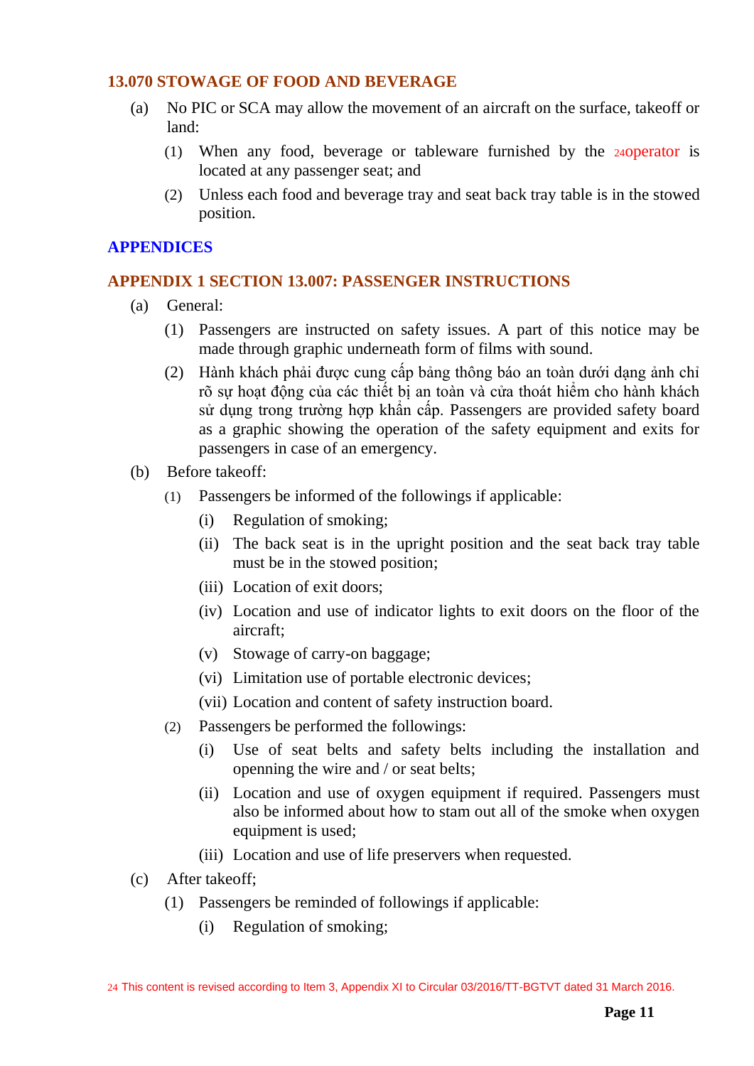### <span id="page-10-0"></span>**13.070 STOWAGE OF FOOD AND BEVERAGE**

- (a) No PIC or SCA may allow the movement of an aircraft on the surface, takeoff or land:
	- (1) When any food, beverage or tableware furnished by the 24operator is located at any passenger seat; and
	- (2) Unless each food and beverage tray and seat back tray table is in the stowed position.

## <span id="page-10-1"></span>**APPENDICES**

## **APPENDIX 1 SECTION 13.007: PASSENGER INSTRUCTIONS**

- (a) General:
	- (1) Passengers are instructed on safety issues. A part of this notice may be made through graphic underneath form of films with sound.
	- (2) Hành khách phải được cung cấp bảng thông báo an toàn dưới dạng ảnh chỉ rõ sự hoạt động của các thiết bị an toàn và cửa thoát hiểm cho hành khách sử dụng trong trường hợp khẩn cấp. Passengers are provided safety board as a graphic showing the operation of the safety equipment and exits for passengers in case of an emergency.
- (b) Before takeoff:
	- (1) Passengers be informed of the followings if applicable:
		- (i) Regulation of smoking;
		- (ii) The back seat is in the upright position and the seat back tray table must be in the stowed position;
		- (iii) Location of exit doors;
		- (iv) Location and use of indicator lights to exit doors on the floor of the aircraft;
		- (v) Stowage of carry-on baggage;
		- (vi) Limitation use of portable electronic devices;
		- (vii) Location and content of safety instruction board.
	- (2) Passengers be performed the followings:
		- (i) Use of seat belts and safety belts including the installation and openning the wire and / or seat belts;
		- (ii) Location and use of oxygen equipment if required. Passengers must also be informed about how to stam out all of the smoke when oxygen equipment is used;
		- (iii) Location and use of life preservers when requested.
- (c) After takeoff;
	- (1) Passengers be reminded of followings if applicable:
		- (i) Regulation of smoking;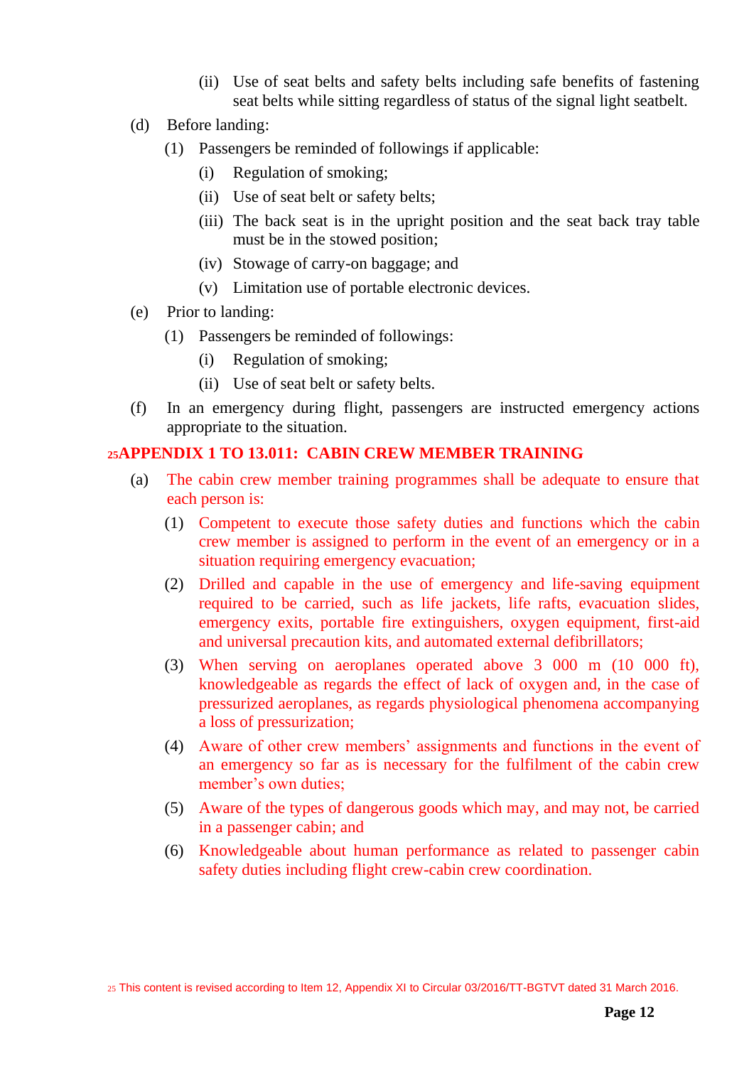- (ii) Use of seat belts and safety belts including safe benefits of fastening seat belts while sitting regardless of status of the signal light seatbelt.
- (d) Before landing:
	- (1) Passengers be reminded of followings if applicable:
		- (i) Regulation of smoking;
		- (ii) Use of seat belt or safety belts;
		- (iii) The back seat is in the upright position and the seat back tray table must be in the stowed position;
		- (iv) Stowage of carry-on baggage; and
		- (v) Limitation use of portable electronic devices.
- (e) Prior to landing:
	- (1) Passengers be reminded of followings:
		- (i) Regulation of smoking;
		- (ii) Use of seat belt or safety belts.
- (f) In an emergency during flight, passengers are instructed emergency actions appropriate to the situation.

## <span id="page-11-0"></span>**<sup>25</sup>APPENDIX 1 TO 13.011: CABIN CREW MEMBER TRAINING**

- (a) The cabin crew member training programmes shall be adequate to ensure that each person is:
	- (1) Competent to execute those safety duties and functions which the cabin crew member is assigned to perform in the event of an emergency or in a situation requiring emergency evacuation;
	- (2) Drilled and capable in the use of emergency and life-saving equipment required to be carried, such as life jackets, life rafts, evacuation slides, emergency exits, portable fire extinguishers, oxygen equipment, first-aid and universal precaution kits, and automated external defibrillators;
	- (3) When serving on aeroplanes operated above 3 000 m (10 000 ft), knowledgeable as regards the effect of lack of oxygen and, in the case of pressurized aeroplanes, as regards physiological phenomena accompanying a loss of pressurization;
	- (4) Aware of other crew members' assignments and functions in the event of an emergency so far as is necessary for the fulfilment of the cabin crew member's own duties;
	- (5) Aware of the types of dangerous goods which may, and may not, be carried in a passenger cabin; and
	- (6) Knowledgeable about human performance as related to passenger cabin safety duties including flight crew-cabin crew coordination.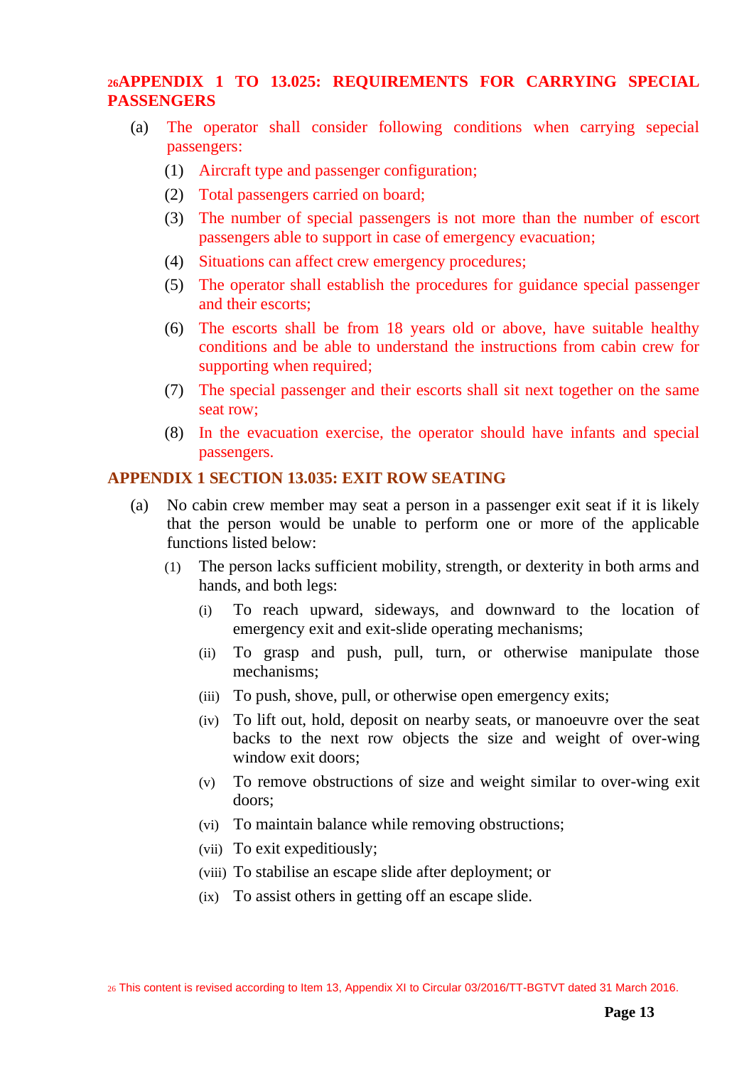# <span id="page-12-0"></span>**<sup>26</sup>APPENDIX 1 TO 13.025: REQUIREMENTS FOR CARRYING SPECIAL PASSENGERS**

- (a) The operator shall consider following conditions when carrying sepecial passengers:
	- (1) Aircraft type and passenger configuration;
	- (2) Total passengers carried on board;
	- (3) The number of special passengers is not more than the number of escort passengers able to support in case of emergency evacuation;
	- (4) Situations can affect crew emergency procedures;
	- (5) The operator shall establish the procedures for guidance special passenger and their escorts;
	- (6) The escorts shall be from 18 years old or above, have suitable healthy conditions and be able to understand the instructions from cabin crew for supporting when required;
	- (7) The special passenger and their escorts shall sit next together on the same seat row;
	- (8) In the evacuation exercise, the operator should have infants and special passengers.

## <span id="page-12-1"></span>**APPENDIX 1 SECTION 13.035: EXIT ROW SEATING**

- (a) No cabin crew member may seat a person in a passenger exit seat if it is likely that the person would be unable to perform one or more of the applicable functions listed below:
	- (1) The person lacks sufficient mobility, strength, or dexterity in both arms and hands, and both legs:
		- (i) To reach upward, sideways, and downward to the location of emergency exit and exit-slide operating mechanisms;
		- (ii) To grasp and push, pull, turn, or otherwise manipulate those mechanisms;
		- (iii) To push, shove, pull, or otherwise open emergency exits;
		- (iv) To lift out, hold, deposit on nearby seats, or manoeuvre over the seat backs to the next row objects the size and weight of over-wing window exit doors:
		- (v) To remove obstructions of size and weight similar to over-wing exit doors;
		- (vi) To maintain balance while removing obstructions;
		- (vii) To exit expeditiously;
		- (viii) To stabilise an escape slide after deployment; or
		- (ix) To assist others in getting off an escape slide.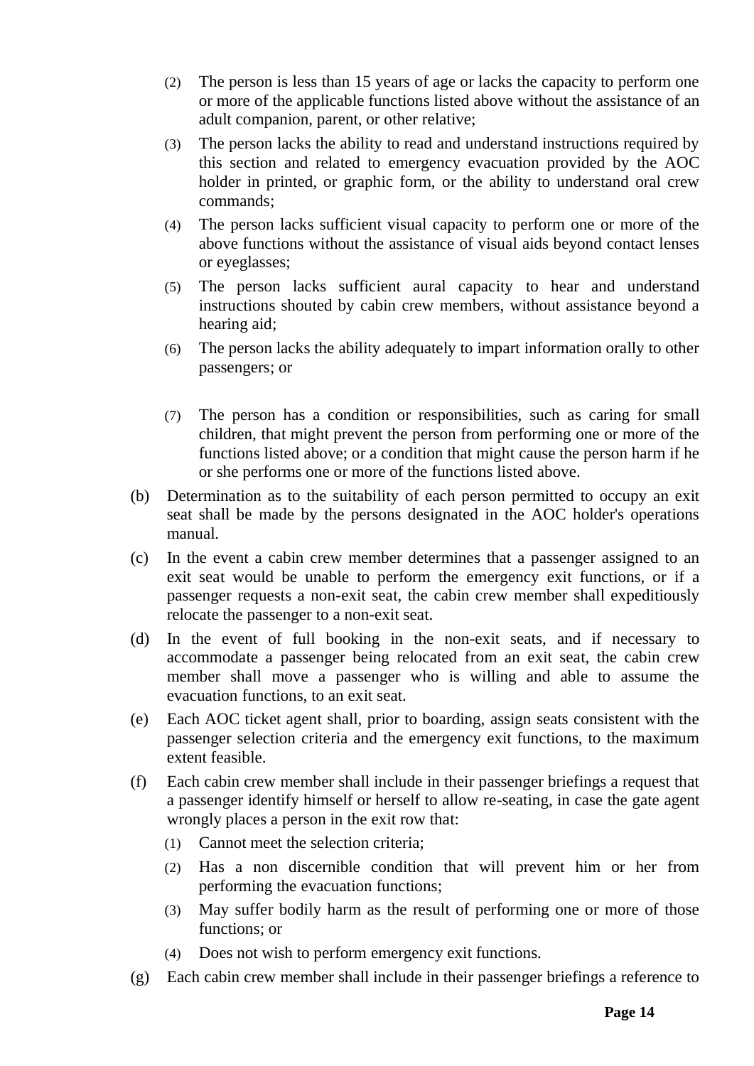- (2) The person is less than 15 years of age or lacks the capacity to perform one or more of the applicable functions listed above without the assistance of an adult companion, parent, or other relative;
- (3) The person lacks the ability to read and understand instructions required by this section and related to emergency evacuation provided by the AOC holder in printed, or graphic form, or the ability to understand oral crew commands;
- (4) The person lacks sufficient visual capacity to perform one or more of the above functions without the assistance of visual aids beyond contact lenses or eyeglasses;
- (5) The person lacks sufficient aural capacity to hear and understand instructions shouted by cabin crew members, without assistance beyond a hearing aid;
- (6) The person lacks the ability adequately to impart information orally to other passengers; or
- (7) The person has a condition or responsibilities, such as caring for small children, that might prevent the person from performing one or more of the functions listed above; or a condition that might cause the person harm if he or she performs one or more of the functions listed above.
- (b) Determination as to the suitability of each person permitted to occupy an exit seat shall be made by the persons designated in the AOC holder's operations manual.
- (c) In the event a cabin crew member determines that a passenger assigned to an exit seat would be unable to perform the emergency exit functions, or if a passenger requests a non-exit seat, the cabin crew member shall expeditiously relocate the passenger to a non-exit seat.
- (d) In the event of full booking in the non-exit seats, and if necessary to accommodate a passenger being relocated from an exit seat, the cabin crew member shall move a passenger who is willing and able to assume the evacuation functions, to an exit seat.
- (e) Each AOC ticket agent shall, prior to boarding, assign seats consistent with the passenger selection criteria and the emergency exit functions, to the maximum extent feasible.
- (f) Each cabin crew member shall include in their passenger briefings a request that a passenger identify himself or herself to allow re-seating, in case the gate agent wrongly places a person in the exit row that:
	- (1) Cannot meet the selection criteria;
	- (2) Has a non discernible condition that will prevent him or her from performing the evacuation functions;
	- (3) May suffer bodily harm as the result of performing one or more of those functions; or
	- (4) Does not wish to perform emergency exit functions.
- (g) Each cabin crew member shall include in their passenger briefings a reference to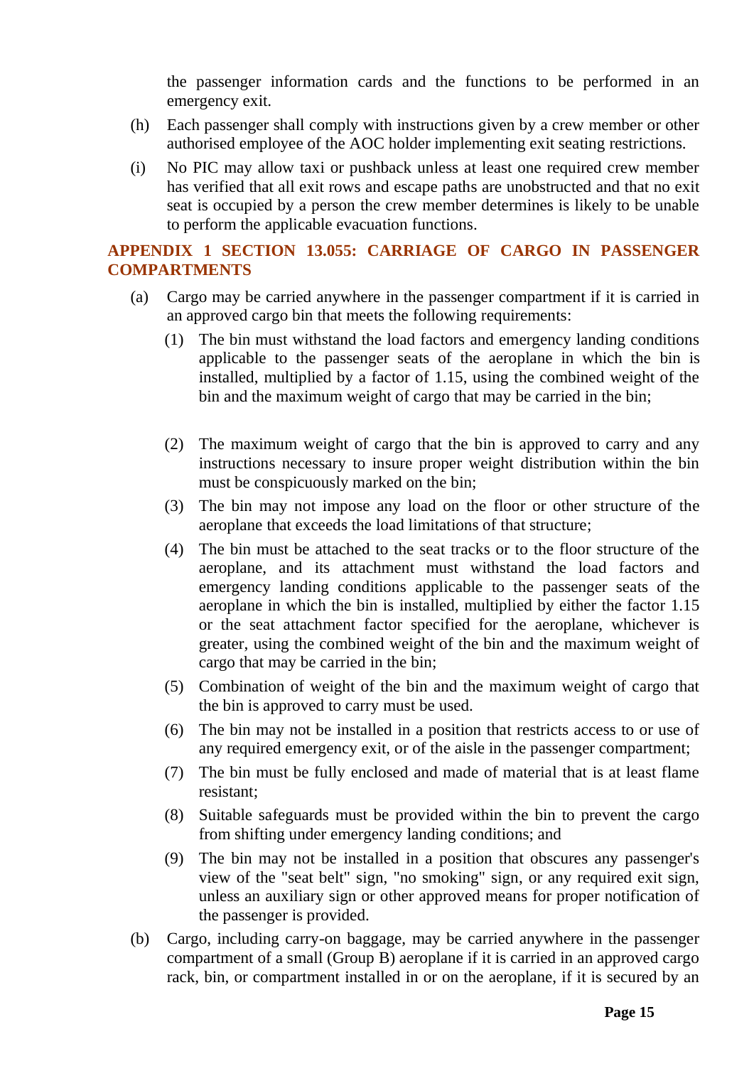the passenger information cards and the functions to be performed in an emergency exit.

- (h) Each passenger shall comply with instructions given by a crew member or other authorised employee of the AOC holder implementing exit seating restrictions.
- (i) No PIC may allow taxi or pushback unless at least one required crew member has verified that all exit rows and escape paths are unobstructed and that no exit seat is occupied by a person the crew member determines is likely to be unable to perform the applicable evacuation functions.

# <span id="page-14-0"></span>**APPENDIX 1 SECTION 13.055: CARRIAGE OF CARGO IN PASSENGER COMPARTMENTS**

- (a) Cargo may be carried anywhere in the passenger compartment if it is carried in an approved cargo bin that meets the following requirements:
	- (1) The bin must withstand the load factors and emergency landing conditions applicable to the passenger seats of the aeroplane in which the bin is installed, multiplied by a factor of 1.15, using the combined weight of the bin and the maximum weight of cargo that may be carried in the bin;
	- (2) The maximum weight of cargo that the bin is approved to carry and any instructions necessary to insure proper weight distribution within the bin must be conspicuously marked on the bin;
	- (3) The bin may not impose any load on the floor or other structure of the aeroplane that exceeds the load limitations of that structure;
	- (4) The bin must be attached to the seat tracks or to the floor structure of the aeroplane, and its attachment must withstand the load factors and emergency landing conditions applicable to the passenger seats of the aeroplane in which the bin is installed, multiplied by either the factor 1.15 or the seat attachment factor specified for the aeroplane, whichever is greater, using the combined weight of the bin and the maximum weight of cargo that may be carried in the bin;
	- (5) Combination of weight of the bin and the maximum weight of cargo that the bin is approved to carry must be used.
	- (6) The bin may not be installed in a position that restricts access to or use of any required emergency exit, or of the aisle in the passenger compartment;
	- (7) The bin must be fully enclosed and made of material that is at least flame resistant;
	- (8) Suitable safeguards must be provided within the bin to prevent the cargo from shifting under emergency landing conditions; and
	- (9) The bin may not be installed in a position that obscures any passenger's view of the "seat belt" sign, "no smoking" sign, or any required exit sign, unless an auxiliary sign or other approved means for proper notification of the passenger is provided.
- (b) Cargo, including carry-on baggage, may be carried anywhere in the passenger compartment of a small (Group B) aeroplane if it is carried in an approved cargo rack, bin, or compartment installed in or on the aeroplane, if it is secured by an